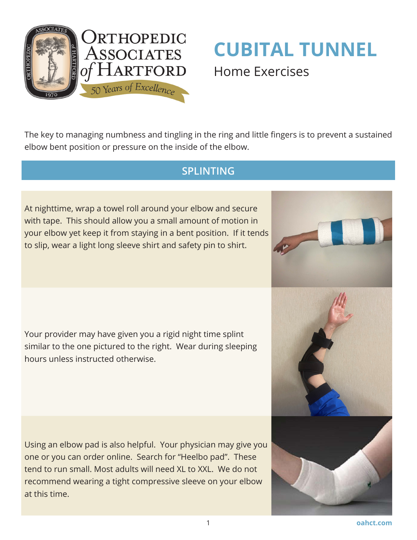

## **CUBITAL TUNNEL** Home Exercises

The key to managing numbness and tingling in the ring and little fingers is to prevent a sustained elbow bent position or pressure on the inside of the elbow.

## **SPLINTING**

At nighttime, wrap a towel roll around your elbow and secure with tape. This should allow you a small amount of motion in your elbow yet keep it from staying in a bent position. If it tends to slip, wear a light long sleeve shirt and safety pin to shirt.

Your provider may have given you a rigid night time splint similar to the one pictured to the right. Wear during sleeping hours unless instructed otherwise.

Using an elbow pad is also helpful. Your physician may give you one or you can order online. Search for "Heelbo pad". These tend to run small. Most adults will need XL to XXL. We do not recommend wearing a tight compressive sleeve on your elbow at this time.